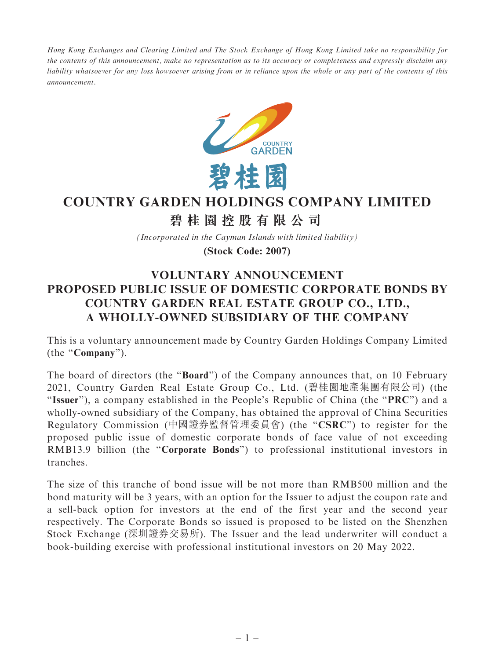Hong Kong Exchanges and Clearing Limited and The Stock Exchange of Hong Kong Limited take no responsibility for the contents of this announcement, make no representation as to its accuracy or completeness and expressly disclaim any liability whatsoever for any loss howsoever arising from or in reliance upon the whole or any part of the contents of this announcement.



## **COUNTRY GARDEN HOLDINGS COMPANY LIMITED**

**碧桂園控股有限公司**

*(Incorporated in the Cayman Islands with limited liability)*

**(Stock Code: 2007)**

## VOLUNTARY ANNOUNCEMENT PROPOSED PUBLIC ISSUE OF DOMESTIC CORPORATE BONDS BY COUNTRY GARDEN REAL ESTATE GROUP CO., LTD., A WHOLLY-OWNED SUBSIDIARY OF THE COMPANY

This is a voluntary announcement made by Country Garden Holdings Company Limited (the ''Company'').

The board of directors (the "**Board**") of the Company announces that, on 10 February 2021, Country Garden Real Estate Group Co., Ltd. (碧桂園地產集團有限公司) (the "Issuer"), a company established in the People's Republic of China (the "PRC") and a wholly-owned subsidiary of the Company, has obtained the approval of China Securities Regulatory Commission (中國證券監督管理委員會) (the "CSRC") to register for the proposed public issue of domestic corporate bonds of face value of not exceeding RMB13.9 billion (the "Corporate Bonds") to professional institutional investors in tranches.

The size of this tranche of bond issue will be not more than RMB500 million and the bond maturity will be 3 years, with an option for the Issuer to adjust the coupon rate and a sell-back option for investors at the end of the first year and the second year respectively. The Corporate Bonds so issued is proposed to be listed on the Shenzhen Stock Exchange (深圳證券交易所). The Issuer and the lead underwriter will conduct a book-building exercise with professional institutional investors on 20 May 2022.